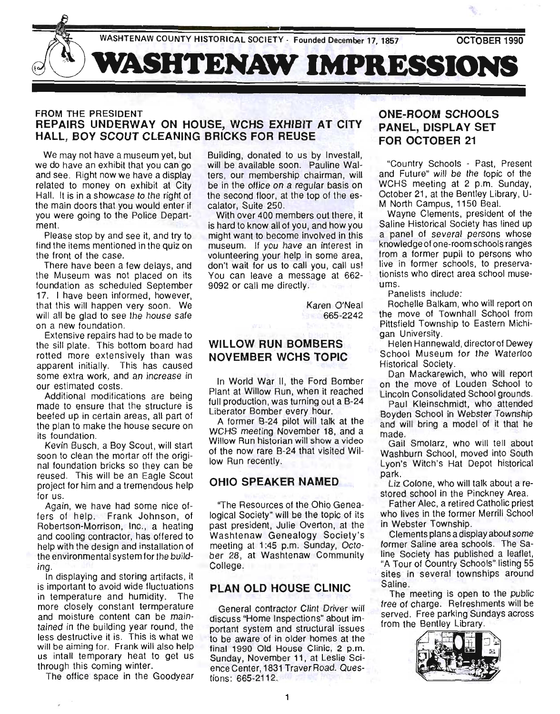

#### FROM THE PRESIDENT REPAIRS UNDERWAY ON HOUSE, WCHS EXHIBIT AT CITY HALL, BOY SCOUT CLEANING BRICKS FOR REUSE

We may not have a museum yet, but we do have an exhibit that you can go and see. Right now we have a display related to money on exhibit at City Hall. It is in a showcase to the right of the main doors that you would enter if you were going to the Police Department.

Please stop by and see it, and try to find the items mentioned in the quiz on the front of the case.

There have been a few delays, and the Museum was not placed on its foundation as scheduled September 17. I have been informed, however, that this will happen very soon. We will all be glad to see the house safe on a new foundation.

Extensive repairs had to be made to the sill plate. This bottom board had rotted more extensively than was apparent initially. This has caused some extra work, and an increase in our estimated costs.

Additional modifications are being made to ensure that the structure is beefed up in certain areas, all part of the plan to make the house secure on its foundation.

Kevin Busch, a Boy Scout, will start soon to clean the mortar off the original foundation bricks so they can be reused. This will be an Eagle Scout project for him and a tremendous help for us.

Again, we have had some nice offers of help. Frank Johnson, of Robertson-Morrison, Inc., a heating and cooling contractor, has offered to help with the design and installation of the environmental system forthe building.

In displaying and storing artifacts, it is important to avoid wide fluctuations in temperature and humidity. The more closely constant termperature and moisture content can be maintained in the building year round, the less destructive it is. This is what we will be aiming for. Frank will also help us intall temporary heat to get us through this coming winter.

The office space in the Goodyear

Building, donated to us by Investall, will be available soon. Pauline Waiters, our membership chairman, will be in the office on a regular basis on the second floor, at the top of the escalator, Suite 250.

With over 400 members out there, it is hard to know all of you, and how you might want to become involved in this museum. If you have an interest in volunteering your help in some area, don't wait for us to call you, call us! You can leave a message at 662- 9092 or call me directly.

> Karen O'Neal 665-2242

## WILLOW RUN BOMBERS NOVEMBER WCHS TOPIC

In World War II, the Ford Bomber Plant at Willow Run, when it reached full production, was turning out a B-24 Liberator Bomber every hour.

A former B-24 pilot will talk at the WCHS meeting November 18, and a Willow Run historian will show a video of the now rare B-24 that visited Willow Run recently.

#### OHIO SPEAKER NAMED

"The Resources of the Ohio Genealogical Society" will be the topic of its past president, Julie Overton, at the Washtenaw Genealogy Society's meeting at 1:45 p.m. Sunday, October 28, at Washtenaw Community College.

#### PLAN OLD HOUSE CLINIC

General contractor Clint Driver will discuss "Home Inspections" about important system and structural issues to be aware of in older homes at the final 1990 Old House Clinic, 2 p.m. Sunday, November 11, at Leslie Science Center, 1831 Traver Road. Questions: 665-2112.

# ONE-ROOM SCHOOLS PANEL, DISPLAY SET FOR OCTOBER 21

"Country Schools - Past, Present and Future" will be the topic of the WCHS meeting at 2 p.m. Sunday, October 21, at the Bentley Library, U-M North Campus, 1150 Beal.

Wayne Clements, president of the Saline Historical Society has lined up a panel of several persons whose knowledge of one-room schools ranges from a former pupil to persons who live in former schools, to preservationists who direct area school museums.

Panelists include:

Rochelle Balkam, who will report on the move of Townhall School from Pittsfield Township to Eastern Michigan University.

Helen Hannewald, director of Dewey School Museum for the Waterloo Historical Society.

Dan Mackarewich, who will report on the move of Louden School to Lincoln Consolidated School grounds.

Paul Kleinschmidt, who attended Boyden School in Webster Township and will bring a model of it that he

made.<br>Gail Smolarz, who will tell about Washburn School, moved into South Lyon's Witch's Hat Depot historical park.

Liz Colone, who will talk about a restored school in the Pinckney Area.

Father Alec, a retired Catholic priest who lives in the former Merrill School in Webster Township.

Clements plans a display about some former Saline area schools. The Saline Society has published a leaflet, "A Tour of Country Schools" listing 55 sites in several townships around Saline.

The meeting is open to the public free of charge. Refreshments will be served. Free parking Sundays across from the Bentley Library .

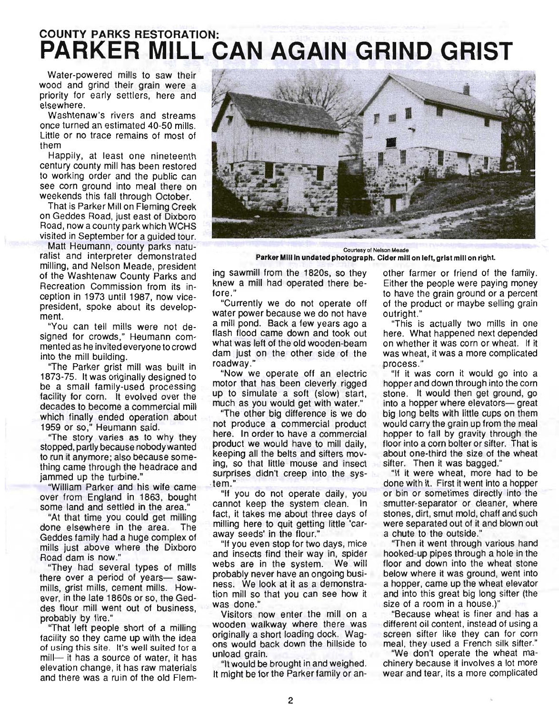# **COUNTY PARKS RESTORATION: PARKER MILL CAN AGAIN GRIND GRIST**

Water-powered mills to saw their wood and grind their grain were a priority for early settlers, here and elsewhere.

Washtenaw's rivers and streams once turned an estimated 40-50 mills. Little or no trace remains of most of them

Happily, at least one nineteenth century county mill has been restored to working order and the public can see corn ground into meal there on weekends this fall through October.

That is Parker Mill on Fleming Creek on Geddes Road, just east of Dixboro Road, now a county park which WCHS visited in September for a guided tour.

Matt Heumann, county parks naturalist and interpreter demonstrated milling, and Nelson Meade, president of the Washtenaw County Parks and Recreation Commission from its inception in 1973 until 1987, now vicepresident, spoke about its development.

"You can tell mills were not designed for crowds," Heumann commented as he invited everyone to crowd into the mill building.

''The Parker grist mill was built in 1873-75. It was originally designed to be a small family-used processing facility for corn. It evolved over the decades to become a commercial mill which finally ended operation about 1959 or so," Heumann said.

''The story varies as to why they stopped, partly because nobody wanted to run it anymore; also because something came through the headrace and jammed up the turbine."

"William Parker and his wife came over from England in 1863, bought some land and settled in the area."

"At that time you could get milling done elsewhere in the area. The Geddes family had a huge complex of mills just above where the Dixboro Road dam is now."

"They had several types of mills there over a period of years- sawmills, grist mills, cement mills. However, in the late 1860s or so, the Geddes flour mill went out of business, probably by fire."

"That left people short of a milling facility so they came up with the idea of using this site. It's well suited for a mill- it has a source of water, it has elevation change, it has raw materials and there was a ruin of the old Flem-



Parker Millin undated photograph. Cider mill on left, grist mill on right.

ing sawmill from the 1820s, so they other farmer or friend of the family. knew a mill had operated there be- Either the people were paying money

water power because we do not have outright." a mill pond. Back a few years ago a "This is actually two mills in one flash flood came down and took out here. What happened next depended what was left of the old wooden-beam on whether it was corn or wheat. If it dam just on the other side of the was wheat, it was a more complicated roadway." process."

motor that has been cleverly rigged hopper and down through into the corn up to simulate a soft (slow) start, stone. It would then get ground, go

not produce a commercial product would carry the grain up from the meal here. In order to have a commercial hopper to fall by gravity through the product we would have to mill daily, floor into a corn bolter or sifter. That is keeping all the belts and sifters mov- about one-third the size of the wheat ing, so that little mouse and insect sifter. Then it was bagged." surprises didn't creep into the sys- "If it were wheat, more had to be

cannot keep the system clean. In smutter-separator or cleaner, where fact, it takes me about three days of stones, dirt, smut mold, chaff and such milling here to quit getting little 'car- were separated out of it and blown out away seeds' in the flour." a chute to the outside."

and insects find their way in, spider hooked-up pipes through a hole in the webs are in the system. We will floor and down into the wheat stone probably never have an ongoing busi- below where it was ground, went into ness. We look at it as a demonstra- a hopper, came up the wheat elevator tion mill so that you can see how it and into this great big long sifter (the was done." size of a room in a house.)"

wooden walkway where there was different oil content, instead of using a originally a short loading dock. Wag- screen sifter like they can for corn ons would back down the hillside to meal, they used a French silk sifter." unload grain. "We don't operate the wheat ma-

It might be for the Parker family or an- wear and tear, its a more complicated

fore." to have the grain ground or a percent "Currently we do not operate off of the product or maybe selling grain

"Now we operate off an electric "If it was corn it would go into a much as you would get with water." into a hopper where elevators-great "The other big difference is we do big long belts with little cups on them

·tem." done with it. First it went into a hopper "If you do not operate daily, you or bin or sometimes directly into the

"If you even stop for two days, mice ''Then it went through various hand

Visitors now enter the mill on a "Because wheat is finer and has a

"It would be brought in and weighed. chinery because it involves a lot more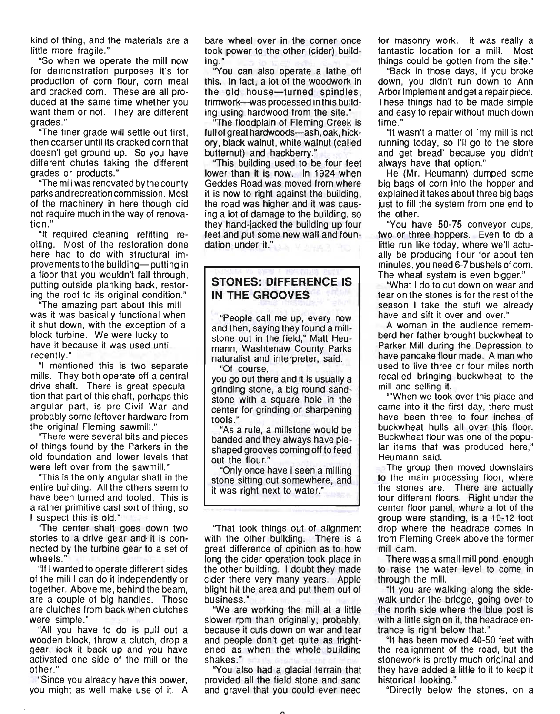kind of thing, and the materials are a little more fragile."

"So when we operate the mill now for demonstration purposes it's for production of corn flour, corn meal and cracked corn. These are all produced at the same time whether you want them or not. They are different grades."

"The finer grade will settle out first, then coarser until its cracked corn that doesn't get ground up. So you have different chutes taking the different grades or products."

"The mill was renovated by the county parks and recreation commission. Most of the machinery in here though did not require much in the way of renovation."

"It required cleaning, refitting, reoiling. Most of the restoration done here had to do with structural improvements to the building— putting in a floor that you wouldn't fall through, putting outside planking back, restoring the roof to its original condition."

"The amazing part about this mill was it was basically functional when it shut down, with the exception of a block turbine. We were lucky to have it because it was used until recently."

"I mentioned this is two separate mills. They both operate off a central drive shaft. There is great speculation that part of this shaft, perhaps this angular part, is pre-Civil War and probably some leftover hardware from the original Fleming sawmill."

"There were several bits and pieces of things found by the Parkers in the old foundation and lower levels that were left over from the sawmill."

"This is the only angular shaft in the entire building. All the others seem to have been turned and tooled. This is a rather primitive cast sort of thing, so I suspect this is old."

"The center shaft goes down two stories to a drive gear and it is connected by the turbine gear to a set of wheels."

"If I wanted to operate different sides of the mill I can do it independently or together. Above me, behind the beam, are a couple of big handles. Those are clutches from back when clutches were simple."

"All you have to do is pull out a wooden block, throw a clutch, drop a gear, lock it back up and you have activated one side of the mill or the other."

"Since you already have this power, you might as well make use of it. A bare wheel over in the corner once took power to the other (Cider) building."

''You can also operate a lathe off this. In fact, a lot of the woodwork in the old house-turned spindles, trimwork-was processed in this building using hardwood from the site."

"The floodplain of Fleming Creek is full of great hardwoods-ash, oak, hickory, black walnut, white walnut (called butternut) and hackberry."

''This building used to be four feet lower than it is now. In 1924 when Geddes Road was moved from where it is now to right against the building, the road was higher and it was causing a lot of damage to the building, so they hand-jacked the building up four feet and put some new wall and foundation under it."

# **STONES: DIFFERENCE IS IN THE GROOVES**

"People call me up, every now and then, saying they found a millstone out in the field," Matt Heumann, Washtenaw County Parks naturalist and interpreter, said. "Of course,

you go out there and it is usually a grinding stone, a big round sandstone with a square hole in the center for grinding or sharpening tools."

"As a rule, a millstone would be banded and they always have pieshaped grooves coming off to feed. out the flour."

"Only once have I seen a milling stone sitting out somewhere, and it was right next to water."

"That took things out of alignment with the other building. There is a great difference of opinion as to how long the cider operation took place in the other building. I doubt they made cider there very many years. Apple blight hit the area and put them out of business."

"We are working the mill at a little slower rpm than originally, probably, because it cuts down on war and tear and people don't get quite as frightened as when the whole building shakes."

''You also had a glacial terrain that provided all the field stone and sand and gravel that you could ever need

for masonry work. It was really a fantastic location for a mill. Most things could be gotten from the site."

"Back in those days, if you broke down, you didn't run down to Ann Arbor Implement and get a repair piece. These things had to be made simple and easy to repair without much down time."

"It wasn't a matter of `my mill is not running today, so I'll go to the store and get bread' because you didn't always have that option."

He (Mr. Heumann) dumped some big bags of corn into the hopper and explained it takes about three big bags just to fill the system from one end to the other.

"You have 50-75 conveyor cups, two or three hoppers. Even to do a little run like today, where we'll actually be producing flour for about ten minutes, you need 6-7 bushels of corn. The wheat system is even bigger."

"What I do to cut down on wear and tear on the stones is for the rest of the season I take the stuff we already have and sift it over and over."

A woman in the audience rememberd her father brought buckwheat to Parker Mill during the Depression to have pancake flour made. A man who used to live three or four miles north recalled bringing buckwheat to the mill and selling it.

''''When we took over this place and came into it the first day, there must have been three to four inches of buckwheat hulls all over this floor. Buckwheat flour was one of the popular items that was produced here," Heumann said.

The group then moved downstairs to the main processing floor, where the stones are. There are actually four different floors. Right under the center floor panel, where a lot of the group were standing, is a 10-12 foot drop where the headrace comes in from Fleming Creek above the former mill dam.

There was a small mill pond, enough to raise the water level to come in through the mill.

"If you are walking along the sidewalk under the bridge, going over to the north side where the blue post is with a little sign on it, the headrace entrance is right below that."

"It has been moved 40-50 feet with the realignment of the road, but the stonework is pretty much original and they have added a little to it to keep it historical looking."

"Directly below the stones, on a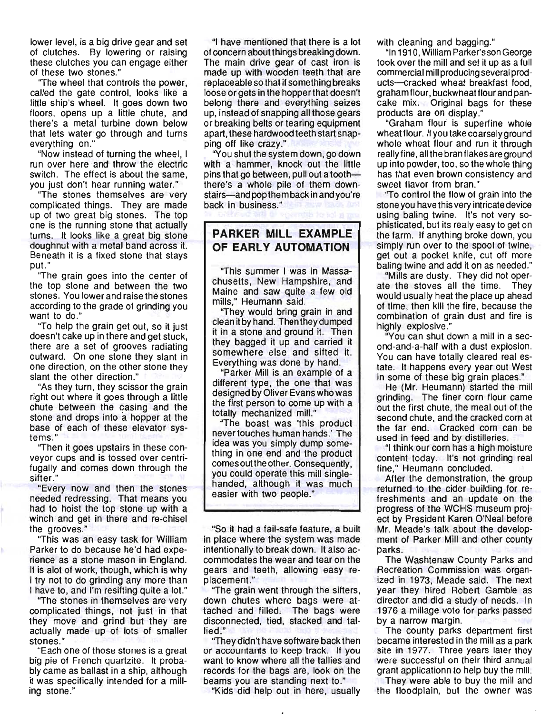lower level, is a big drive gear and set of clutches. By lowering or raising these clutches you can engage either of these two stones."

''The wheel that controls the power, called the gate control, looks like a little ship's wheel. It goes down two floors, opens up a little chute, and there's a metal turbine down below that lets water go through and turns everything on."

"Now instead of turning the wheel, I run over here and throw the electric switch. The effect is about the same, you just don't hear running water."

"The stones themselves are very complicated things. They are made up of two great big stones. The top one is the running stone that actually turns. It looks like a great big stone doughnut with a metal band across it. Beneath it is a fixed stone that stays put."

"The grain goes into the center of the top stone and between the two stones. You lower and raise the stones according to the grade of grinding you want to do."

"To help the grain get out, so it just doesn't cake up in there and get stuck, there are a set of grooves radiating outward. On one stone they slant in one direction, on the other stone they slant the other direction."

"As they turn, they scissor the grain right out where it goes through a little chute between the casing and the stone and drops into a hopper at the base of each of these elevator systems."

''Then it goes upstairs in these conveyor cups and is tossed over centrifugally and comes down through the sifter."

"Every now and then the stones needed redressing. That means you had to hoist the top stone up with a winch and get in there and re-chisel the grooves."

''This was an easy task for William Parker to do because he'd had experience as a stone mason in England. It is alot of work, though, which is why I try not to do grinding any more than I have to, and I'm resifting quite a lot."

"The stones in themselves are very complicated things, not just in that they move and grind but they are actually made up of lots of smaller stones ."

"Each one of those stones is a great big pie of French quartzite. It probably came as ballast in a ship, although it was specifically intended for a milling stone."

"I have mentioned that there is a lot of concern about things breaking down. The main drive gear of cast iron is made up with wooden teeth that are replaceable so that if something breaks loose or gets in the hopper that doesn't belong there and everything seizes up, instead of snapping all those gears or breaking belts or tearing equipment apart, these hardwood teeth start snapping off like crazy."

"You shut the system down, go down with a hammer, knock out the little pins that go between, pull out a tooththere's a whole pile of them downstairs-and pop them back in and you're back in business."

# **PARKER MILL EXAMPLE OF EARLY AUTOMATION**

''This summer I was in Massachusetts, New Hampshire, and Maine and saw quite a few old mills," Heumann said.

''They would bring grain in and clean it by hand. Thenthey dumped it in a stone and ground it. Then they bagged it up and carried it somewhere else and sifted it. Everything was done by hand.

"Parker Mill is an example of a different type, the one that was designed by Oliver Evans who was the first person to come up with a totally mechanized milL"

"The boast was 'this product never touches human hands.' The idea was you simply dump something in one end and the product comes out the other. Consequently, you could operate this mill singlehanded, although it was much easier with two people."

"So it had a fail-safe feature, a built in place where the system was made intentionally to break down. It also accommodates the wear and tear on the gears and teeth, allowing easy replacement."

''The grain went through the sifters, down chutes where bags were attached and filled. The bags were disconnected, tied, stacked and tallied."

''They didn't have software back then or accountants to keep track. If you want to know where all the tallies and records for the bags are, look on the beams you are standing next to." "Kids did help out in here, usually

with cleaning and bagging."

"In 191 0, William Parker's son George took over the mill and set it up as a full commercial mill producing several products-cracked wheat breakfast food, graham flour, buckwheatflour and pancake mix. Original bags for these products are on display."

"Graham flour is superfine whole wheatflour. If you take coarsely ground whole wheat flour and run it through really fine, all the bran flakes are ground up into powder, too, so the whole thing has that even brown consistency and sweet flavor from bran."

"To control the flow of grain into the stone you have this very intricate device using baling twine. It's not very sophisticated, but its realy easy to get on the farm. If anything broke down, you simply run over to the spool of twine, get out a pocket knife, cut off more baling twine and add it on as needed."

"Mills are dusty. They did not operate the stoves all the time. They would usually heat the place up ahead of time, then kill the fire, because the combination of grain dust and fire is highly explosive."

"You can shut down a mill in a second-and-a-half with a dust explosion. You can have totally cleared real estate. It happens every year out West in some of these big grain places."

He (Mr. Heumann) started the mill grinding. The finer corn flour came out the first chute, the meal out of the second chute, and the cracked corn at the far end. Cracked corn can be used in feed and by distilleries.

"I think our corn has a high moisture content today. It's not grinding real fine," Heumann concluded.

After the demonstration, the group returned to the cider building for refreshments and an update on the progress of the WCHS museum project by President Karen O'Neal before Mr. Meade's talk about the development of Parker Mill and other county parks.

The Washtenaw County Parks and Recreation Commission was organized in 1973, Meade said. The next year they hired Robert Gamble as director and did a study of needs. In 1976 a millage vote for parks passed by a narrow margin.

The county parks department first became interested in the mill as a park site in 1977. Three years later they were successful on their third annual grant applicationn to help buy the mill. They were able to buy the mill and the floodplain, but the owner was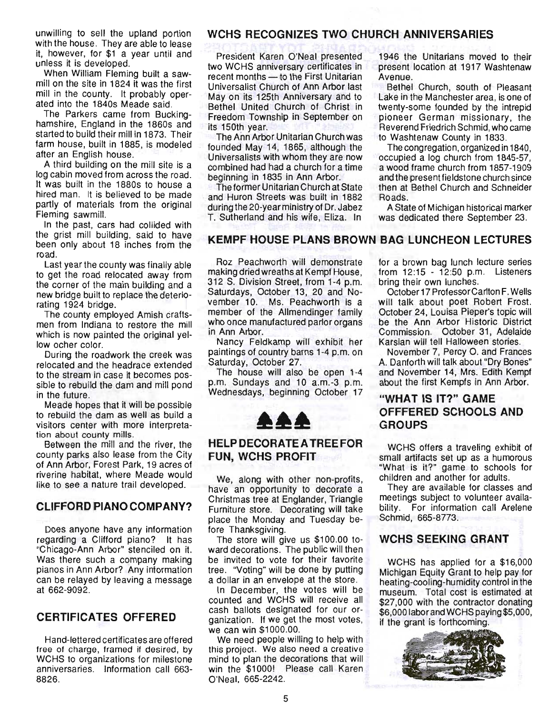unwilling to sell the upland portion with the house. They are able to lease it, however, for \$1 a year until and unless it is developed.

When William Fleming built a sawmill on the site in 1824 it was the first mill in the county. It probably operated into the 1840s Meade said.

The Parkers came from Buckinghamshire, England in the 1860s and started to build their mill in 1873. Their farm house, built in 1885, is modeled after an English house.

A third building on the mill site is a log cabin moved from across the road. It was built in the 1880s to house a hired man. It is believed to be made partly of materials from the original Fleming sawmill.

In the past, cars had collided with the grist mill building, said to have been only about 18 inches from the road.

Last year the county was finally able to get the road relocated away from the corner of the main building and a new bridge built to replace the deteriorating 1924 bridge.

The county employed Amish craftsmen from Indiana to restore the mill which is now painted the original yellow ocher color.

During the roadwork the creek was relocated and the headrace extended to the stream in case it becomes possible to rebuild the dam and mill pond in the future.

Meade hopes that it will be possible to rebuild the dam as well as build a visitors center with more interpretation about county mills.

Between the mill and the river, the county parks also lease from the City of Ann Arbor, Forest Park, 19 acres of riverine habitat, where Meade would like to see a nature trail developed.

## **CLIFFORD PIANO COMPANY?**

Does anyone have any information regarding a Clifford piano? It has "Chicago-Ann Arbor" stenciled on it. Was there such a company making pianos in Ann Arbor? Any information can be relayed by leaving a message at 662-9092.

#### **CERTIFICATES OFFERED**

Hand-lettered certificates are offered free of charge, framed if desired, by WCHS to organizations for milestone anniversaries. Information call 663- 8826.

#### **WCHS RECOGNIZES TWO CHURCH ANNIVERSARIES**

President Karen O'Neal presented two WCHS anniversary certificates in recent months - to the First Unitarian Universalist Church of Ann Arbor last May on its 125th Anniversary and to Bethel United Church of Christ in Freedom Township in September on its 150th year.

The Ann Arbor Unitarian Church was founded May 14, 1865, although the Universalists with whom they are now combined had had a church for a time beginning in 1835 in Ann Arbor.

The former Unitarian Church at State and Huron Streets was built in 1882 during the 20-year ministry of Dr. Jabez T. Sutherland and his wife, Eliza. In

1946 the Unitarians moved to their present location at 1917 Washtenaw Avenue.

Bethel Church, south of Pleasant Lake in the Manchester area, is one of twenty-some founded by the intrepid pioneer German missionary, the Reverend Friedrich Schmid, who came to Washtenaw County in 1833.

The congregation, organized in 1840, occupied a log church from 1845-57, a wood frame church from 1857-1909 and the present fieldstone church since then at Bethel Church and Schneider Roads.

A State of Michigan historical marker was dedicated there September 23.

# **KEMPF HOUSE PLANS BROWN BAG LUNCHEON LECTURES**

Roz Peachworth will demonstrate making dried wreaths at Kempf House, 312 S. Division Street, from 1-4 p.m. Saturdays, October 13, 20 and November 10. Ms. Peachworth is a member of the Allmendinger family who once manufactured parlor organs in Ann Arbor.

Nancy Feldkamp will exhibit her paintings of country barns 1-4 p.m. on Saturday, October 27.

The house will also be open 1-4 p.m. Sundays and 10 a.m.-3 p.m. Wednesdays, beginning October 17



## **HELPDECORATEATREEFOR FUN, WCHS PROFIT**

We, along with other non-profits, have an opportunity to decorate a Christmas tree at Englander, Triangle Furniture store. Decorating will take place the Monday and Tuesday before Thanksgiving.

The store will give us \$100.00 toward decorations. The public will then be invited to vote for their favorite tree. "Voting" will be done by putting a dollar in an envelope at the store.

In December, the votes will be counted and WCHS will receive all cash ballots deSignated for our organization. If we get the most votes, we can win \$1000.00.

We need people willing to help with this project. We also need a creative mind to plan the decorations that will win the \$1000! Please call Karen O'Neal, 665-2242.

for a brown bag lunch lecture series from 12:15 - 12:50 p.m. Listeners bring their own lunches.

October 17 ProfessorCarlton F. Wells will talk about poet Robert Frost. October 24, Louisa Pieper's topic will be the Ann Arbor Historic District Commission. October 31, Adelaide Karsian will tell Halloween stories.

November 7, Percy O. and Frances A. Danforth will talk about "Dry Bones" and November 14, Mrs. Edith Kempf about the first Kempfs in Ann Arbor.

# **"WHAT IS IT?" GAME OFFFERED SCHOOLS AND GROUPS**

WCHS offers a traveling exhibit of small artifacts set up as a humorous "What is it?" game to schools for children and another for adults.

They are available for classes and meetings subject to volunteer availability. For information call Arelene Schmid, 665-8773.

## **WCHS SEEKING GRANT**

WCHS has applied for a \$16,000 Michigan Equity Grant to help pay for heating-cooling-humidity control in the museum. Total cost is estimated at \$27,000 with the contractor donating \$6,000 labor and WCHS paying \$5,000, if the grant is forthcoming.